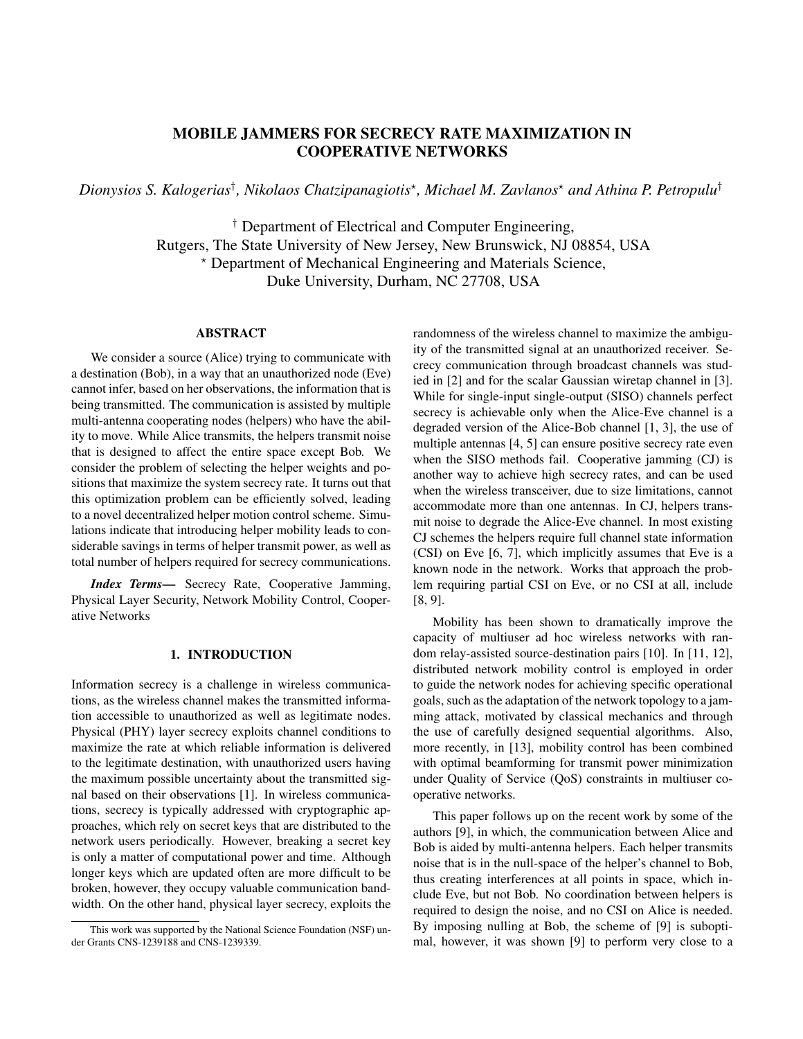# MOBILE JAMMERS FOR SECRECY RATE MAXIMIZATION IN COOPERATIVE NETWORKS

*Dionysios S. Kalogerias*† *, Nikolaos Chatzipanagiotis*? *, Michael M. Zavlanos*? *and Athina P. Petropulu*†

† Department of Electrical and Computer Engineering, Rutgers, The State University of New Jersey, New Brunswick, NJ 08854, USA ? Department of Mechanical Engineering and Materials Science, Duke University, Durham, NC 27708, USA

## ABSTRACT

We consider a source (Alice) trying to communicate with a destination (Bob), in a way that an unauthorized node (Eve) cannot infer, based on her observations, the information that is being transmitted. The communication is assisted by multiple multi-antenna cooperating nodes (helpers) who have the ability to move. While Alice transmits, the helpers transmit noise that is designed to affect the entire space except Bob. We consider the problem of selecting the helper weights and positions that maximize the system secrecy rate. It turns out that this optimization problem can be efficiently solved, leading to a novel decentralized helper motion control scheme. Simulations indicate that introducing helper mobility leads to considerable savings in terms of helper transmit power, as well as total number of helpers required for secrecy communications.

*Index Terms*— Secrecy Rate, Cooperative Jamming, Physical Layer Security, Network Mobility Control, Cooperative Networks

#### 1. INTRODUCTION

Information secrecy is a challenge in wireless communications, as the wireless channel makes the transmitted information accessible to unauthorized as well as legitimate nodes. Physical (PHY) layer secrecy exploits channel conditions to maximize the rate at which reliable information is delivered to the legitimate destination, with unauthorized users having the maximum possible uncertainty about the transmitted signal based on their observations [1]. In wireless communications, secrecy is typically addressed with cryptographic approaches, which rely on secret keys that are distributed to the network users periodically. However, breaking a secret key is only a matter of computational power and time. Although longer keys which are updated often are more difficult to be broken, however, they occupy valuable communication bandwidth. On the other hand, physical layer secrecy, exploits the randomness of the wireless channel to maximize the ambiguity of the transmitted signal at an unauthorized receiver. Secrecy communication through broadcast channels was studied in [2] and for the scalar Gaussian wiretap channel in [3]. While for single-input single-output (SISO) channels perfect secrecy is achievable only when the Alice-Eve channel is a degraded version of the Alice-Bob channel [1, 3], the use of multiple antennas [4, 5] can ensure positive secrecy rate even when the SISO methods fail. Cooperative jamming (CJ) is another way to achieve high secrecy rates, and can be used when the wireless transceiver, due to size limitations, cannot accommodate more than one antennas. In CJ, helpers transmit noise to degrade the Alice-Eve channel. In most existing CJ schemes the helpers require full channel state information (CSI) on Eve [6, 7], which implicitly assumes that Eve is a known node in the network. Works that approach the problem requiring partial CSI on Eve, or no CSI at all, include [8, 9].

Mobility has been shown to dramatically improve the capacity of multiuser ad hoc wireless networks with random relay-assisted source-destination pairs [10]. In [11, 12], distributed network mobility control is employed in order to guide the network nodes for achieving specific operational goals, such as the adaptation of the network topology to a jamming attack, motivated by classical mechanics and through the use of carefully designed sequential algorithms. Also, more recently, in [13], mobility control has been combined with optimal beamforming for transmit power minimization under Quality of Service (QoS) constraints in multiuser cooperative networks.

This paper follows up on the recent work by some of the authors [9], in which, the communication between Alice and Bob is aided by multi-antenna helpers. Each helper transmits noise that is in the null-space of the helper's channel to Bob, thus creating interferences at all points in space, which include Eve, but not Bob. No coordination between helpers is required to design the noise, and no CSI on Alice is needed. By imposing nulling at Bob, the scheme of [9] is suboptimal, however, it was shown [9] to perform very close to a

This work was supported by the National Science Foundation (NSF) under Grants CNS-1239188 and CNS-1239339.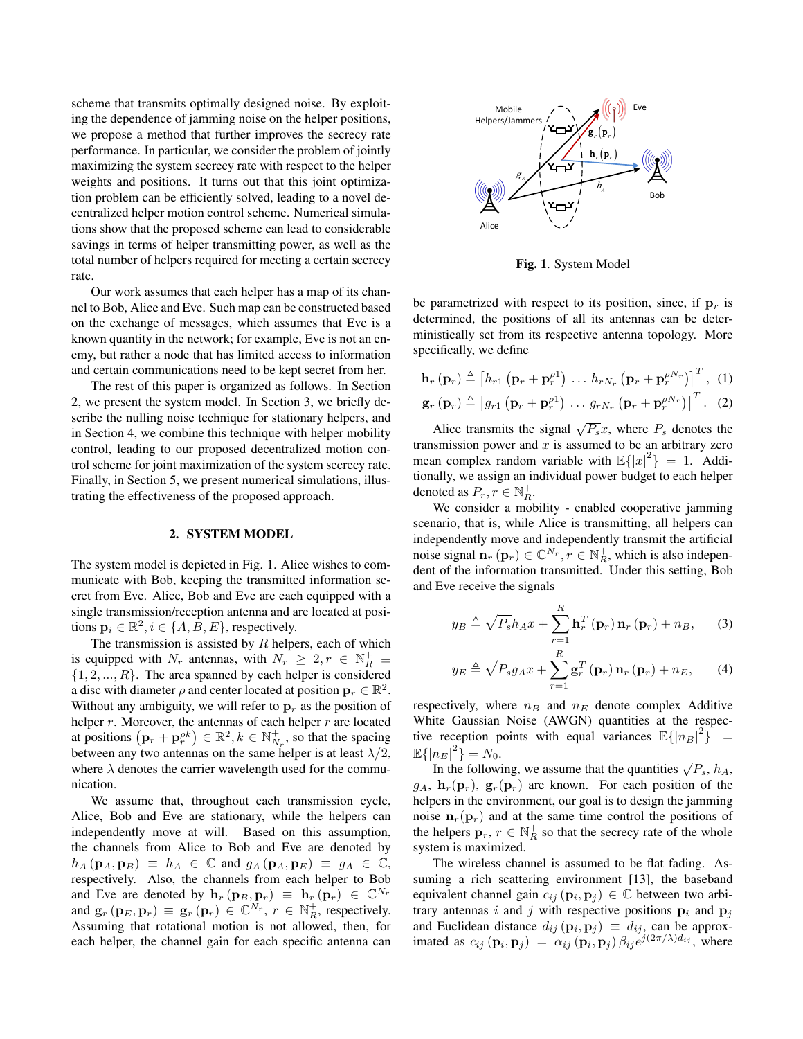scheme that transmits optimally designed noise. By exploiting the dependence of jamming noise on the helper positions, we propose a method that further improves the secrecy rate performance. In particular, we consider the problem of jointly maximizing the system secrecy rate with respect to the helper weights and positions. It turns out that this joint optimization problem can be efficiently solved, leading to a novel decentralized helper motion control scheme. Numerical simulations show that the proposed scheme can lead to considerable savings in terms of helper transmitting power, as well as the total number of helpers required for meeting a certain secrecy rate.

Our work assumes that each helper has a map of its channel to Bob, Alice and Eve. Such map can be constructed based on the exchange of messages, which assumes that Eve is a known quantity in the network; for example, Eve is not an enemy, but rather a node that has limited access to information and certain communications need to be kept secret from her.

The rest of this paper is organized as follows. In Section 2, we present the system model. In Section 3, we briefly describe the nulling noise technique for stationary helpers, and in Section 4, we combine this technique with helper mobility control, leading to our proposed decentralized motion control scheme for joint maximization of the system secrecy rate. Finally, in Section 5, we present numerical simulations, illustrating the effectiveness of the proposed approach.

#### 2. SYSTEM MODEL

The system model is depicted in Fig. 1. Alice wishes to communicate with Bob, keeping the transmitted information secret from Eve. Alice, Bob and Eve are each equipped with a single transmission/reception antenna and are located at positions  $\mathbf{p}_i \in \mathbb{R}^2, i \in \{A, B, E\}$ , respectively.

The transmission is assisted by  $R$  helpers, each of which is equipped with  $N_r$  antennas, with  $N_r \geq 2, r \in \mathbb{N}_R^+ \equiv$  $\{1, 2, ..., R\}$ . The area spanned by each helper is considered a disc with diameter  $\rho$  and center located at position  $\mathbf{p}_r \in \mathbb{R}^2$ . Without any ambiguity, we will refer to  $\mathbf{p}_r$  as the position of helper  $r$ . Moreover, the antennas of each helper  $r$  are located at positions  $(\mathbf{p}_r + \mathbf{p}_r^{\rho k}) \in \mathbb{R}^2, k \in \mathbb{N}_{N_r}^+$ , so that the spacing between any two antennas on the same helper is at least  $\lambda/2$ , where  $\lambda$  denotes the carrier wavelength used for the communication.

We assume that, throughout each transmission cycle, Alice, Bob and Eve are stationary, while the helpers can independently move at will. Based on this assumption, the channels from Alice to Bob and Eve are denoted by  $h_A(\mathbf{p}_A, \mathbf{p}_B) \equiv h_A \in \mathbb{C}$  and  $g_A(\mathbf{p}_A, \mathbf{p}_E) \equiv g_A \in \mathbb{C}$ , respectively. Also, the channels from each helper to Bob and Eve are denoted by  $\mathbf{h}_r(\mathbf{p}_B, \mathbf{p}_r) \equiv \mathbf{h}_r(\mathbf{p}_r) \in \mathbb{C}^{N_r}$ and  $\mathbf{g}_r(\mathbf{p}_E, \mathbf{p}_r) \equiv \mathbf{g}_r(\mathbf{p}_r) \in \mathbb{C}^{N_r}$ ,  $r \in \mathbb{N}_R^+$ , respectively. Assuming that rotational motion is not allowed, then, for each helper, the channel gain for each specific antenna can



Fig. 1. System Model

be parametrized with respect to its position, since, if  $\mathbf{p}_r$  is determined, the positions of all its antennas can be deterministically set from its respective antenna topology. More specifically, we define

$$
\mathbf{h}_{r} \left( \mathbf{p}_{r} \right) \triangleq \left[ h_{r1} \left( \mathbf{p}_{r} + \mathbf{p}_{r}^{\rho 1} \right) \dots h_{rN_{r}} \left( \mathbf{p}_{r} + \mathbf{p}_{r}^{\rho N_{r}} \right) \right]^{T}, (1)
$$
  

$$
\mathbf{g}_{r} \left( \mathbf{p}_{r} \right) \triangleq \left[ g_{r1} \left( \mathbf{p}_{r} + \mathbf{p}_{r}^{\rho 1} \right) \dots g_{rN_{r}} \left( \mathbf{p}_{r} + \mathbf{p}_{r}^{\rho N_{r}} \right) \right]^{T}. (2)
$$

Alice transmits the signal  $\sqrt{P_s}x$ , where  $P_s$  denotes the transmission power and  $x$  is assumed to be an arbitrary zero mean complex random variable with  $\mathbb{E}\{|x|^2\} = 1$ . Additionally, we assign an individual power budget to each helper denoted as  $P_r, r \in \mathbb{N}_R^+$ .

We consider a mobility - enabled cooperative jamming scenario, that is, while Alice is transmitting, all helpers can independently move and independently transmit the artificial noise signal  $\mathbf{n}_r(\mathbf{p}_r) \in \mathbb{C}^{N_r}$ ,  $r \in \mathbb{N}_R^+$ , which is also independent of the information transmitted. Under this setting, Bob and Eve receive the signals

$$
y_B \triangleq \sqrt{P_s} h_A x + \sum_{r=1}^R \mathbf{h}_r^T (\mathbf{p}_r) \mathbf{n}_r (\mathbf{p}_r) + n_B, \qquad (3)
$$

$$
y_E \triangleq \sqrt{P_s} g_A x + \sum_{r=1}^R \mathbf{g}_r^T (\mathbf{p}_r) \, \mathbf{n}_r (\mathbf{p}_r) + n_E, \qquad (4)
$$

respectively, where  $n_B$  and  $n_E$  denote complex Additive White Gaussian Noise (AWGN) quantities at the respective reception points with equal variances  $\mathbb{E}\{|n_B|^2\}^{\dagger} =$  $\mathbb{E}\{|n_E|^2\} = N_0.$ 

 $\{n_E | \} \equiv n_0$ .<br>In the following, we assume that the quantities  $\sqrt{P_s}$ ,  $h_A$ ,  $g_A$ ,  $\mathbf{h}_r(\mathbf{p}_r)$ ,  $\mathbf{g}_r(\mathbf{p}_r)$  are known. For each position of the helpers in the environment, our goal is to design the jamming noise  $n_r(\mathbf{p}_r)$  and at the same time control the positions of the helpers  $\mathbf{p}_r, r \in \mathbb{N}_R^+$  so that the secrecy rate of the whole system is maximized.

The wireless channel is assumed to be flat fading. Assuming a rich scattering environment [13], the baseband equivalent channel gain  $c_{ij}$   $(\mathbf{p}_i, \mathbf{p}_j) \in \mathbb{C}$  between two arbitrary antennas i and j with respective positions  $p_i$  and  $p_j$ and Euclidean distance  $d_{ij}(\mathbf{p}_i, \mathbf{p}_j) \equiv d_{ij}$ , can be approximated as  $c_{ij}(\mathbf{p}_i, \mathbf{p}_j) = \alpha_{ij}(\mathbf{p}_i, \mathbf{p}_j) \beta_{ij} e^{j(2\pi/\lambda) d_{ij}}$ , where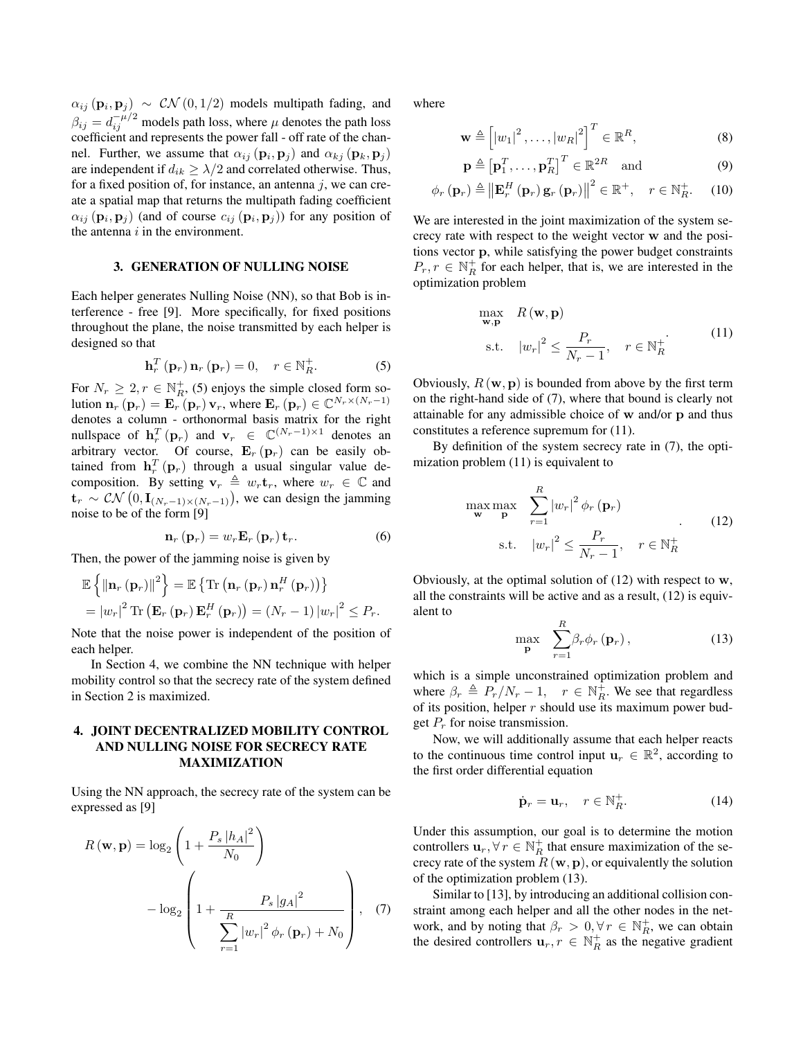$\alpha_{ij}$  ( $\mathbf{p}_i, \mathbf{p}_j$ )  $\sim$  CN (0, 1/2) models multipath fading, and  $\beta_{ij} = d_{ij}^{-\mu/2}$  models path loss, where  $\mu$  denotes the path loss coefficient and represents the power fall - off rate of the channel. Further, we assume that  $\alpha_{ij}$   $(\mathbf{p}_i, \mathbf{p}_j)$  and  $\alpha_{kj}$   $(\mathbf{p}_k, \mathbf{p}_j)$ are independent if  $d_{ik} \geq \lambda/2$  and correlated otherwise. Thus, for a fixed position of, for instance, an antenna  $j$ , we can create a spatial map that returns the multipath fading coefficient  $\alpha_{ij}$  ( $\mathbf{p}_i$ ,  $\mathbf{p}_j$ ) (and of course  $c_{ij}$  ( $\mathbf{p}_i$ ,  $\mathbf{p}_j$ )) for any position of the antenna  $i$  in the environment.

### 3. GENERATION OF NULLING NOISE

Each helper generates Nulling Noise (NN), so that Bob is interference - free [9]. More specifically, for fixed positions throughout the plane, the noise transmitted by each helper is designed so that

$$
\mathbf{h}_r^T(\mathbf{p}_r)\,\mathbf{n}_r(\mathbf{p}_r)=0,\quad r\in\mathbb{N}_R^+.\tag{5}
$$

For  $N_r \geq 2, r \in \mathbb{N}_R^+$ , (5) enjoys the simple closed form solution  $\mathbf{n}_r(\mathbf{p}_r) = \mathbf{E}_r(r) \mathbf{v}_r$ , where  $\mathbf{E}_r(\mathbf{p}_r) \in \mathbb{C}^{N_r \times (N_r-1)}$ denotes a column - orthonormal basis matrix for the right nullspace of  $\mathbf{h}_r^T(\mathbf{p}_r)$  and  $\mathbf{v}_r \in \mathbb{C}^{(N_r-1)\times 1}$  denotes an arbitrary vector. Of course,  $\mathbf{E}_r(\mathbf{p}_r)$  can be easily obtained from  $\mathbf{h}_r^T(\mathbf{p}_r)$  through a usual singular value decomposition. By setting  $\mathbf{v}_r \triangleq w_r \mathbf{t}_r$ , where  $w_r \in \mathbb{C}$  and  $\mathbf{t}_r \sim \mathcal{CN}\left(0, \mathbf{I}_{(N_r-1)\times(N_r-1)}\right)$ , we can design the jamming noise to be of the form [9]

$$
\mathbf{n}_{r}\left(\mathbf{p}_{r}\right)=w_{r}\mathbf{E}_{r}\left(\mathbf{p}_{r}\right)\mathbf{t}_{r}.
$$
 (6)

Then, the power of the jamming noise is given by

$$
\mathbb{E}\left\{\left\|\mathbf{n}_{r}\left(\mathbf{p}_{r}\right)\right\|^{2}\right\}=\mathbb{E}\left\{\text{Tr}\left(\mathbf{n}_{r}\left(\mathbf{p}_{r}\right)\mathbf{n}_{r}^{H}\left(\mathbf{p}_{r}\right)\right)\right\}
$$
\n
$$
=\left|w_{r}\right|^{2}\text{Tr}\left(\mathbf{E}_{r}\left(\mathbf{p}_{r}\right)\mathbf{E}_{r}^{H}\left(\mathbf{p}_{r}\right)\right)=\left(N_{r}-1\right)\left|w_{r}\right|^{2}\leq P_{r}.
$$

Note that the noise power is independent of the position of each helper.

In Section 4, we combine the NN technique with helper mobility control so that the secrecy rate of the system defined in Section 2 is maximized.

### 4. JOINT DECENTRALIZED MOBILITY CONTROL AND NULLING NOISE FOR SECRECY RATE MAXIMIZATION

Using the NN approach, the secrecy rate of the system can be expressed as [9]

$$
R(\mathbf{w}, \mathbf{p}) = \log_2 \left( 1 + \frac{P_s |h_A|^2}{N_0} \right)
$$

$$
- \log_2 \left( 1 + \frac{P_s |g_A|^2}{\sum_{r=1}^R |w_r|^2 \phi_r(\mathbf{p}_r) + N_0} \right), \quad (7)
$$

where

$$
\mathbf{w} \triangleq \left[ |w_1|^2, \dots, |w_R|^2 \right]^T \in \mathbb{R}^R,
$$
\n(8)

$$
\mathbf{p} \triangleq \begin{bmatrix} \mathbf{p}_1^T, \dots, \mathbf{p}_R^T \end{bmatrix}^T \in \mathbb{R}^{2R} \text{ and } (9)
$$

$$
\phi_r(\mathbf{p}_r) \triangleq \left\| \mathbf{E}_r^H(\mathbf{p}_r) \mathbf{g}_r(\mathbf{p}_r) \right\|^2 \in \mathbb{R}^+, \quad r \in \mathbb{N}_R^+.
$$
 (10)

We are interested in the joint maximization of the system secrecy rate with respect to the weight vector w and the positions vector p, while satisfying the power budget constraints  $P_r, r \in \mathbb{N}_R^+$  for each helper, that is, we are interested in the optimization problem

$$
\max_{\mathbf{w}, \mathbf{p}} R(\mathbf{w}, \mathbf{p})
$$
  
s.t.  $|w_r|^2 \le \frac{P_r}{N_r - 1}, \quad r \in \mathbb{N}_R^+$  (11)

Obviously,  $R(\mathbf{w}, \mathbf{p})$  is bounded from above by the first term on the right-hand side of (7), where that bound is clearly not attainable for any admissible choice of w and/or p and thus constitutes a reference supremum for (11).

By definition of the system secrecy rate in (7), the optimization problem (11) is equivalent to

$$
\max_{\mathbf{w}} \max_{\mathbf{p}} \sum_{r=1}^{R} |w_r|^2 \phi_r(\mathbf{p}_r)
$$
\n
$$
\text{s.t.} \quad |w_r|^2 \le \frac{P_r}{N_r - 1}, \quad r \in \mathbb{N}_R^+
$$
\n
$$
(12)
$$

Obviously, at the optimal solution of  $(12)$  with respect to w, all the constraints will be active and as a result, (12) is equivalent to

$$
\max_{\mathbf{p}} \quad \sum_{r=1}^{R} \beta_r \phi_r \left( \mathbf{p}_r \right), \tag{13}
$$

which is a simple unconstrained optimization problem and where  $\beta_r \triangleq P_r/N_r - 1$ ,  $r \in \mathbb{N}_R^2$ . We see that regardless of its position, helper  $r$  should use its maximum power budget  $P_r$  for noise transmission.

Now, we will additionally assume that each helper reacts to the continuous time control input  $\mathbf{u}_r \in \mathbb{R}^2$ , according to the first order differential equation

$$
\dot{\mathbf{p}}_r = \mathbf{u}_r, \quad r \in \mathbb{N}_R^+.
$$
 (14)

Under this assumption, our goal is to determine the motion controllers  $\mathbf{u}_r, \forall r \in \mathbb{N}^+_R$  that ensure maximization of the secrecy rate of the system  $R(\mathbf{w}, \mathbf{p})$ , or equivalently the solution of the optimization problem (13).

Similar to [13], by introducing an additional collision constraint among each helper and all the other nodes in the network, and by noting that  $\beta_r > 0, \forall r \in \mathbb{N}_R^+$ , we can obtain the desired controllers  $\mathbf{u}_r, r \in \mathbb{N}_R^+$  as the negative gradient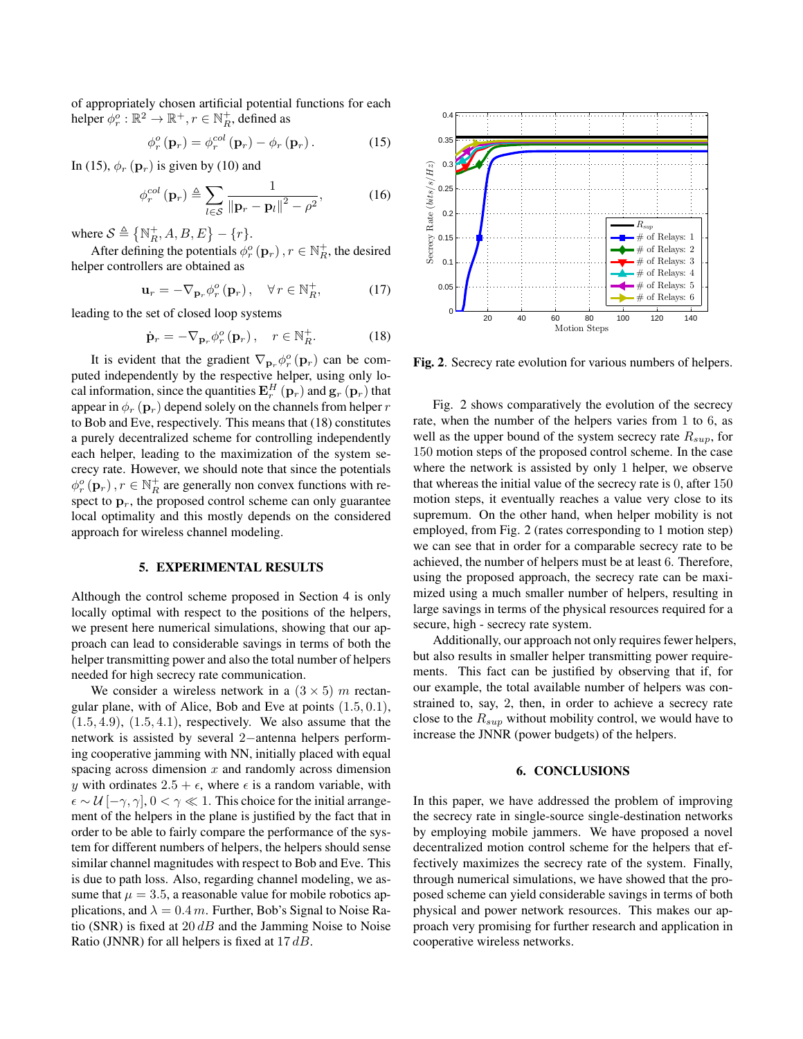of appropriately chosen artificial potential functions for each helper  $\phi_r^o : \mathbb{R}^2 \to \mathbb{R}^+, r \in \mathbb{N}_R^+$ , defined as

$$
\phi_r^o(\mathbf{p}_r) = \phi_r^{col}(\mathbf{p}_r) - \phi_r(\mathbf{p}_r).
$$
 (15)

In (15),  $\phi_r$  ( $\mathbf{p}_r$ ) is given by (10) and

$$
\phi_r^{col}(\mathbf{p}_r) \triangleq \sum_{l \in \mathcal{S}} \frac{1}{\left\| \mathbf{p}_r - \mathbf{p}_l \right\|^2 - \rho^2},\tag{16}
$$

where  $S \triangleq \{ \mathbb{N}_R^+, A, B, E \} - \{r\}.$ 

After defining the potentials  $\phi_r^o(\mathbf{p}_r)$ ,  $r \in \mathbb{N}_R^+$ , the desired helper controllers are obtained as

$$
\mathbf{u}_r = -\nabla_{\mathbf{p}_r} \phi_r^o(\mathbf{p}_r), \quad \forall r \in \mathbb{N}_R^+, \tag{17}
$$

leading to the set of closed loop systems

$$
\dot{\mathbf{p}}_r = -\nabla_{\mathbf{p}_r} \phi_r^o(\mathbf{p}_r), \quad r \in \mathbb{N}_R^+.
$$
 (18)

It is evident that the gradient  $\nabla_{\mathbf{p}_r} \phi_r^o(\mathbf{p}_r)$  can be computed independently by the respective helper, using only local information, since the quantities  ${\bf E}_r^H\left({\bf p}_r\right)$  and  ${\bf g}_r\left({\bf p}_r\right)$  that appear in  $\phi_r$  ( $\mathbf{p}_r$ ) depend solely on the channels from helper r to Bob and Eve, respectively. This means that (18) constitutes a purely decentralized scheme for controlling independently each helper, leading to the maximization of the system secrecy rate. However, we should note that since the potentials  $\phi_r^o(\mathbf{p}_r)$ ,  $r \in \mathbb{N}_R^+$  are generally non convex functions with respect to  $\mathbf{p}_r$ , the proposed control scheme can only guarantee local optimality and this mostly depends on the considered approach for wireless channel modeling.

#### 5. EXPERIMENTAL RESULTS

Although the control scheme proposed in Section 4 is only locally optimal with respect to the positions of the helpers, we present here numerical simulations, showing that our approach can lead to considerable savings in terms of both the helper transmitting power and also the total number of helpers needed for high secrecy rate communication.

We consider a wireless network in a  $(3 \times 5)$  m rectangular plane, with of Alice, Bob and Eve at points (1.5, 0.1),  $(1.5, 4.9), (1.5, 4.1),$  respectively. We also assume that the network is assisted by several 2−antenna helpers performing cooperative jamming with NN, initially placed with equal spacing across dimension  $x$  and randomly across dimension y with ordinates  $2.5 + \epsilon$ , where  $\epsilon$  is a random variable, with  $\epsilon \sim \mathcal{U}$  [− $\gamma$ ,  $\gamma$ ],  $0 < \gamma \ll 1$ . This choice for the initial arrangement of the helpers in the plane is justified by the fact that in order to be able to fairly compare the performance of the system for different numbers of helpers, the helpers should sense similar channel magnitudes with respect to Bob and Eve. This is due to path loss. Also, regarding channel modeling, we assume that  $\mu = 3.5$ , a reasonable value for mobile robotics applications, and  $\lambda = 0.4$  m. Further, Bob's Signal to Noise Ratio (SNR) is fixed at  $20$  dB and the Jamming Noise to Noise Ratio (JNNR) for all helpers is fixed at  $17 dB$ .



Fig. 2. Secrecy rate evolution for various numbers of helpers.

Fig. 2 shows comparatively the evolution of the secrecy rate, when the number of the helpers varies from 1 to 6, as well as the upper bound of the system secrecy rate  $R_{\text{sub}}$ , for 150 motion steps of the proposed control scheme. In the case where the network is assisted by only 1 helper, we observe that whereas the initial value of the secrecy rate is 0, after 150 motion steps, it eventually reaches a value very close to its supremum. On the other hand, when helper mobility is not employed, from Fig. 2 (rates corresponding to 1 motion step) we can see that in order for a comparable secrecy rate to be achieved, the number of helpers must be at least 6. Therefore, using the proposed approach, the secrecy rate can be maximized using a much smaller number of helpers, resulting in large savings in terms of the physical resources required for a secure, high - secrecy rate system.

Additionally, our approach not only requires fewer helpers, but also results in smaller helper transmitting power requirements. This fact can be justified by observing that if, for our example, the total available number of helpers was constrained to, say, 2, then, in order to achieve a secrecy rate close to the  $R_{sup}$  without mobility control, we would have to increase the JNNR (power budgets) of the helpers.

### 6. CONCLUSIONS

In this paper, we have addressed the problem of improving the secrecy rate in single-source single-destination networks by employing mobile jammers. We have proposed a novel decentralized motion control scheme for the helpers that effectively maximizes the secrecy rate of the system. Finally, through numerical simulations, we have showed that the proposed scheme can yield considerable savings in terms of both physical and power network resources. This makes our approach very promising for further research and application in cooperative wireless networks.